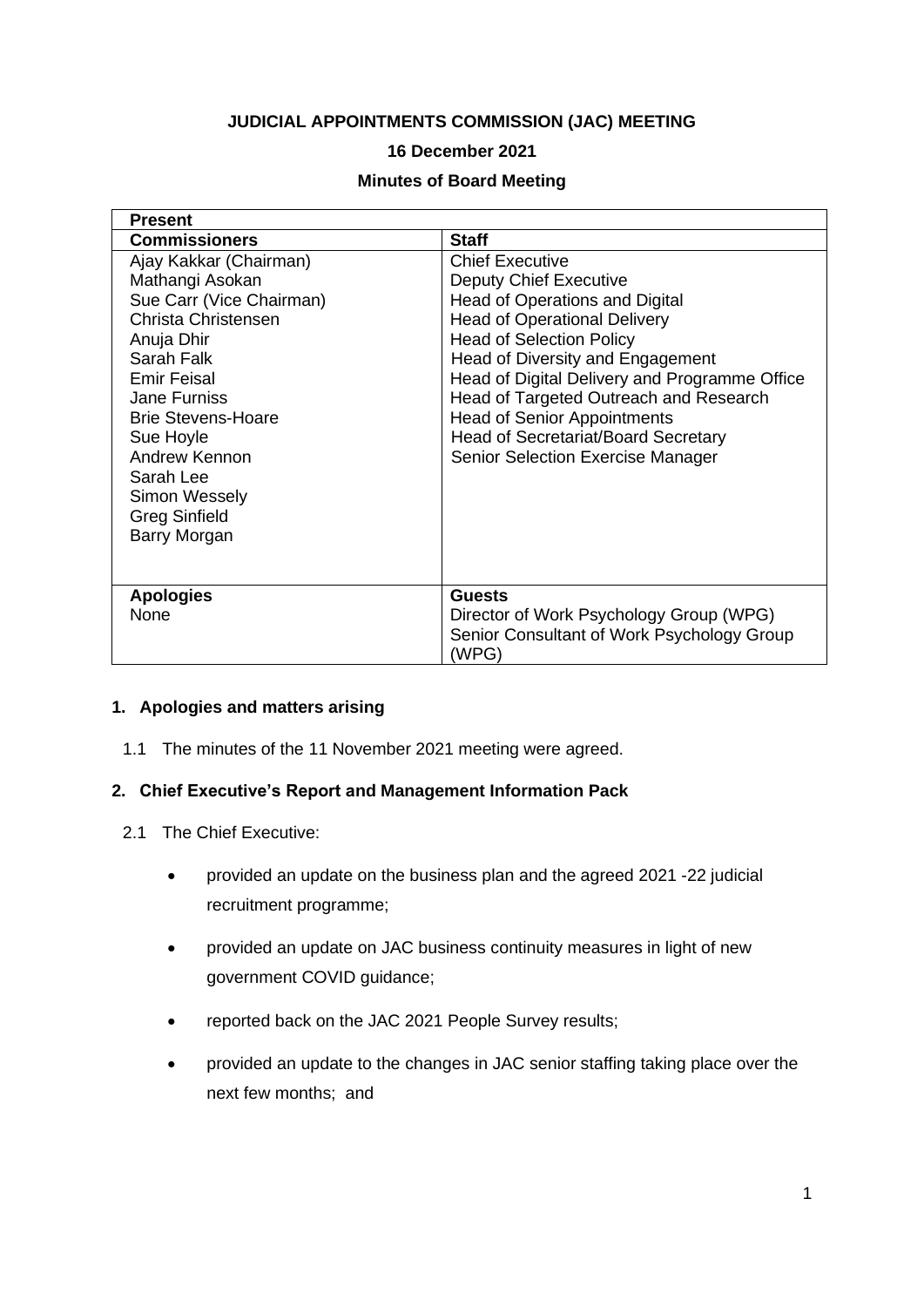# **JUDICIAL APPOINTMENTS COMMISSION (JAC) MEETING**

#### **16 December 2021**

#### **Minutes of Board Meeting**

| <b>Present</b>                                                                                                                                                                                                                                                                                         |                                                                                                                                                                                                                                                                                                                                                                                                                                    |
|--------------------------------------------------------------------------------------------------------------------------------------------------------------------------------------------------------------------------------------------------------------------------------------------------------|------------------------------------------------------------------------------------------------------------------------------------------------------------------------------------------------------------------------------------------------------------------------------------------------------------------------------------------------------------------------------------------------------------------------------------|
| <b>Commissioners</b>                                                                                                                                                                                                                                                                                   | <b>Staff</b>                                                                                                                                                                                                                                                                                                                                                                                                                       |
| Ajay Kakkar (Chairman)<br>Mathangi Asokan<br>Sue Carr (Vice Chairman)<br>Christa Christensen<br>Anuja Dhir<br>Sarah Falk<br><b>Emir Feisal</b><br>Jane Furniss<br><b>Brie Stevens-Hoare</b><br>Sue Hoyle<br>Andrew Kennon<br>Sarah Lee<br>Simon Wessely<br><b>Greg Sinfield</b><br><b>Barry Morgan</b> | <b>Chief Executive</b><br><b>Deputy Chief Executive</b><br>Head of Operations and Digital<br><b>Head of Operational Delivery</b><br><b>Head of Selection Policy</b><br>Head of Diversity and Engagement<br>Head of Digital Delivery and Programme Office<br>Head of Targeted Outreach and Research<br><b>Head of Senior Appointments</b><br><b>Head of Secretariat/Board Secretary</b><br><b>Senior Selection Exercise Manager</b> |
| <b>Apologies</b><br>None                                                                                                                                                                                                                                                                               | <b>Guests</b><br>Director of Work Psychology Group (WPG)<br>Senior Consultant of Work Psychology Group<br>(WPG)                                                                                                                                                                                                                                                                                                                    |

#### **1. Apologies and matters arising**

1.1 The minutes of the 11 November 2021 meeting were agreed.

#### **2. Chief Executive's Report and Management Information Pack**

- 2.1 The Chief Executive:
	- provided an update on the business plan and the agreed 2021 -22 judicial recruitment programme;
	- provided an update on JAC business continuity measures in light of new government COVID guidance;
	- reported back on the JAC 2021 People Survey results;
	- provided an update to the changes in JAC senior staffing taking place over the next few months; and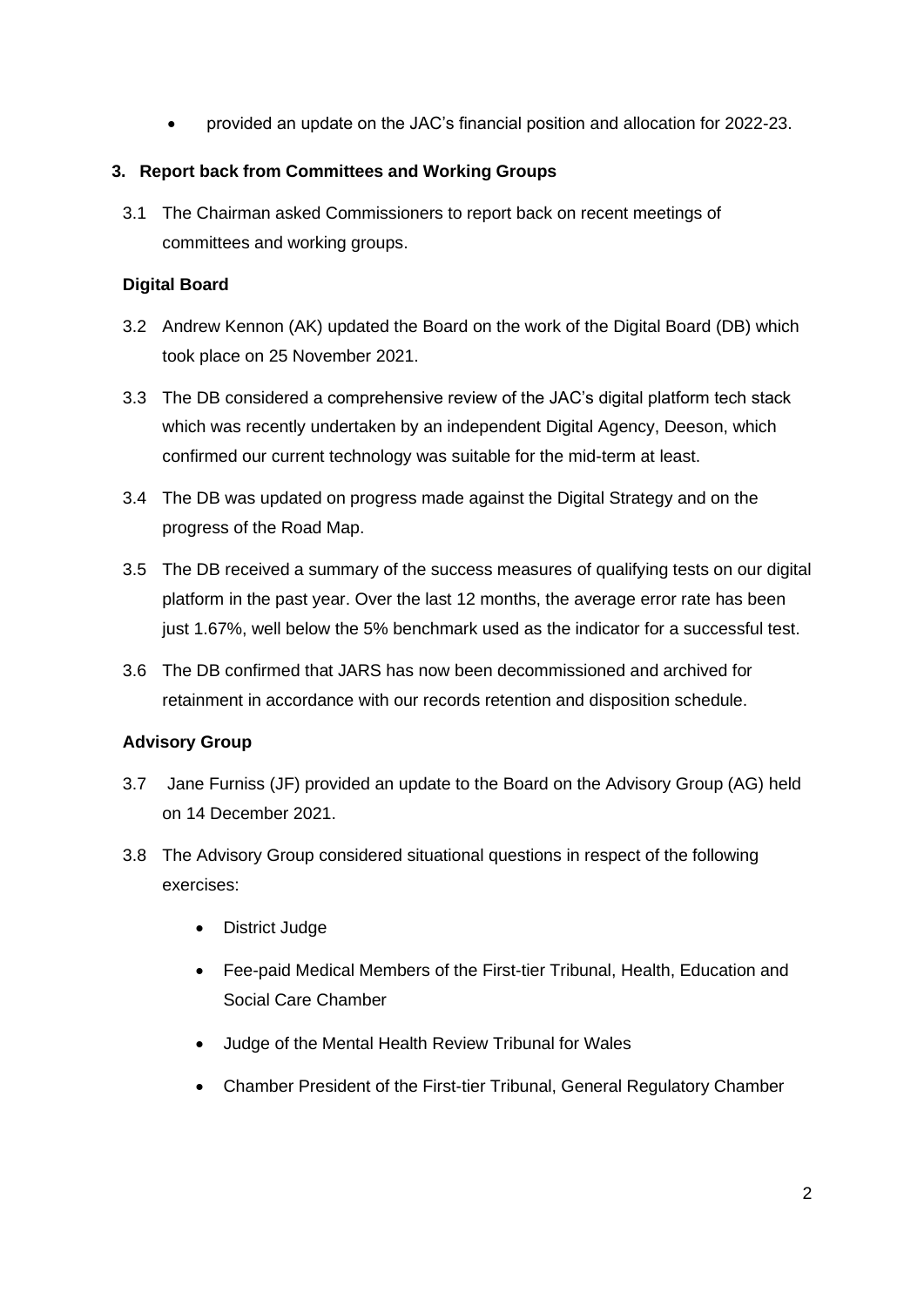• provided an update on the JAC's financial position and allocation for 2022-23.

### **3. Report back from Committees and Working Groups**

3.1 The Chairman asked Commissioners to report back on recent meetings of committees and working groups.

## **Digital Board**

- 3.2 Andrew Kennon (AK) updated the Board on the work of the Digital Board (DB) which took place on 25 November 2021.
- 3.3 The DB considered a comprehensive review of the JAC's digital platform tech stack which was recently undertaken by an independent Digital Agency, Deeson, which confirmed our current technology was suitable for the mid-term at least.
- 3.4 The DB was updated on progress made against the Digital Strategy and on the progress of the Road Map.
- 3.5 The DB received a summary of the success measures of qualifying tests on our digital platform in the past year. Over the last 12 months, the average error rate has been just 1.67%, well below the 5% benchmark used as the indicator for a successful test.
- 3.6 The DB confirmed that JARS has now been decommissioned and archived for retainment in accordance with our records retention and disposition schedule.

## **Advisory Group**

- 3.7 Jane Furniss (JF) provided an update to the Board on the Advisory Group (AG) held on 14 December 2021.
- 3.8 The Advisory Group considered situational questions in respect of the following exercises:
	- District Judge
	- Fee-paid Medical Members of the First-tier Tribunal, Health, Education and Social Care Chamber
	- Judge of the Mental Health Review Tribunal for Wales
	- Chamber President of the First-tier Tribunal, General Regulatory Chamber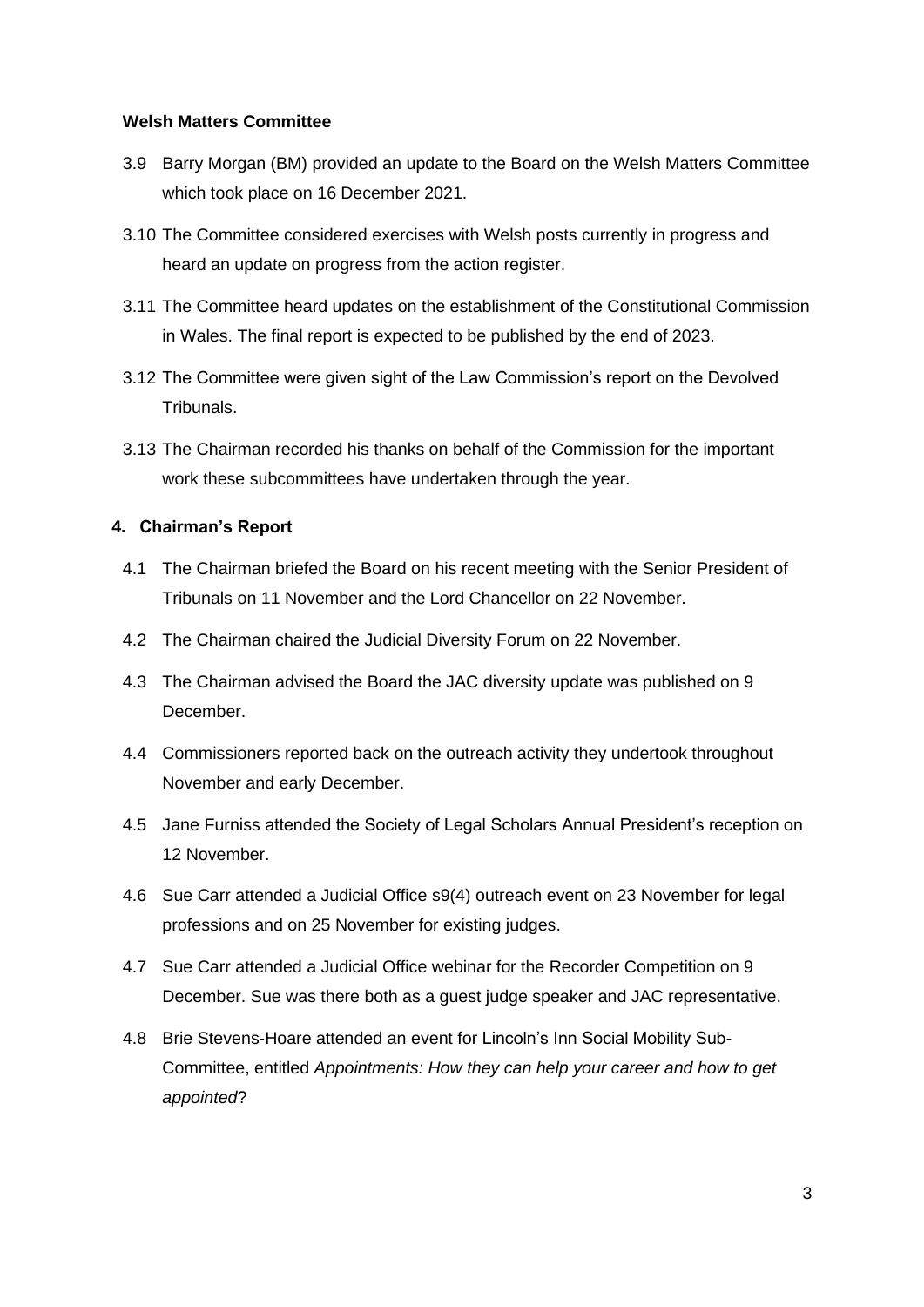#### **Welsh Matters Committee**

- 3.9 Barry Morgan (BM) provided an update to the Board on the Welsh Matters Committee which took place on 16 December 2021.
- 3.10 The Committee considered exercises with Welsh posts currently in progress and heard an update on progress from the action register.
- 3.11 The Committee heard updates on the establishment of the Constitutional Commission in Wales. The final report is expected to be published by the end of 2023.
- 3.12 The Committee were given sight of the Law Commission's report on the Devolved Tribunals.
- 3.13 The Chairman recorded his thanks on behalf of the Commission for the important work these subcommittees have undertaken through the year.

#### **4. Chairman's Report**

- 4.1 The Chairman briefed the Board on his recent meeting with the Senior President of Tribunals on 11 November and the Lord Chancellor on 22 November.
- 4.2 The Chairman chaired the Judicial Diversity Forum on 22 November.
- 4.3 The Chairman advised the Board the JAC diversity update was published on 9 December.
- 4.4 Commissioners reported back on the outreach activity they undertook throughout November and early December.
- 4.5 Jane Furniss attended the Society of Legal Scholars Annual President's reception on 12 November.
- 4.6 Sue Carr attended a Judicial Office s9(4) outreach event on 23 November for legal professions and on 25 November for existing judges.
- 4.7 Sue Carr attended a Judicial Office webinar for the Recorder Competition on 9 December. Sue was there both as a guest judge speaker and JAC representative.
- 4.8 Brie Stevens-Hoare attended an event for Lincoln's Inn Social Mobility Sub-Committee, entitled *Appointments: How they can help your career and how to get appointed*?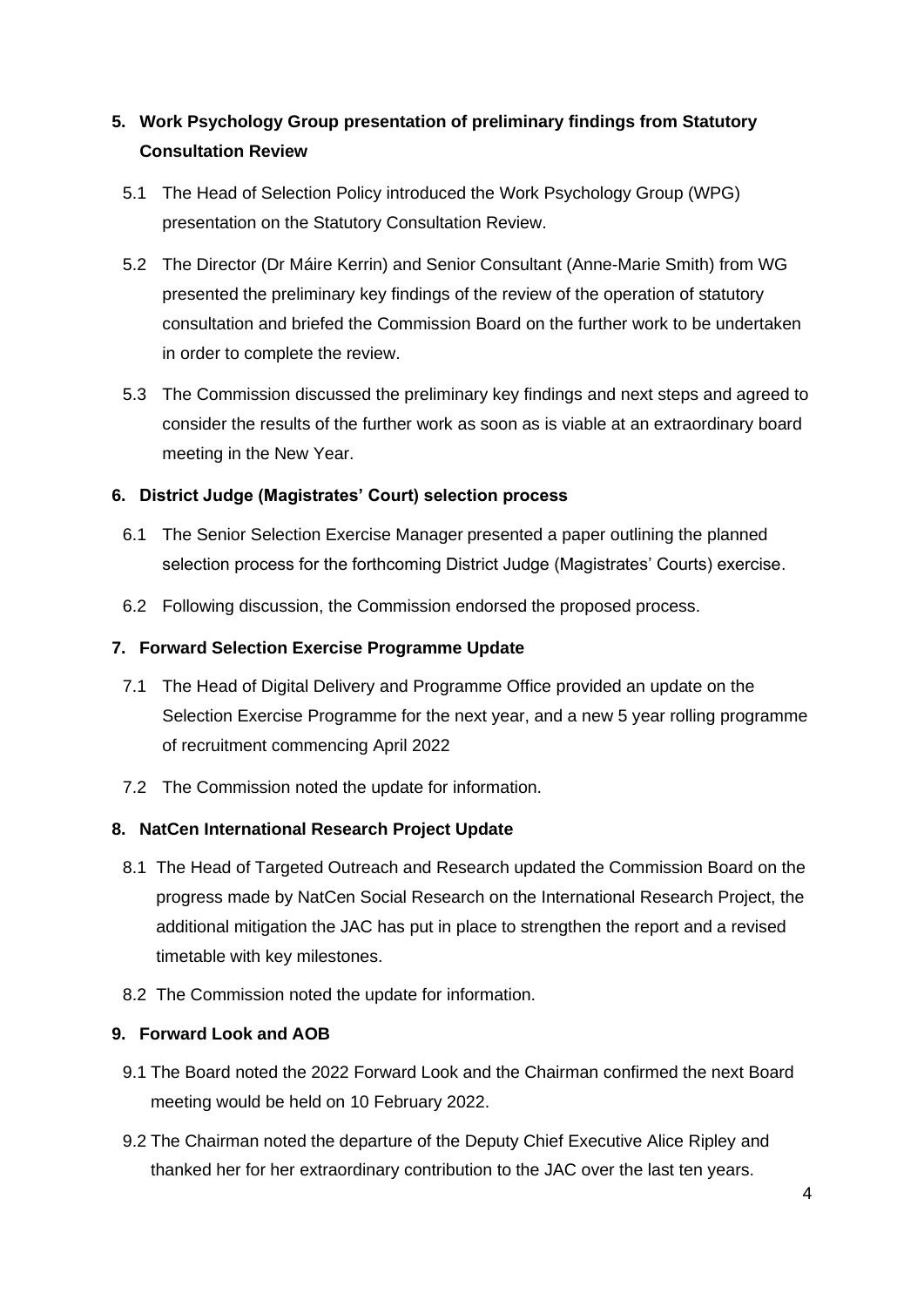# **5. Work Psychology Group presentation of preliminary findings from Statutory Consultation Review**

- 5.1 The Head of Selection Policy introduced the Work Psychology Group (WPG) presentation on the Statutory Consultation Review.
- 5.2 The Director (Dr Máire Kerrin) and Senior Consultant (Anne-Marie Smith) from WG presented the preliminary key findings of the review of the operation of statutory consultation and briefed the Commission Board on the further work to be undertaken in order to complete the review.
- 5.3 The Commission discussed the preliminary key findings and next steps and agreed to consider the results of the further work as soon as is viable at an extraordinary board meeting in the New Year.

# **6. District Judge (Magistrates' Court) selection process**

- 6.1 The Senior Selection Exercise Manager presented a paper outlining the planned selection process for the forthcoming District Judge (Magistrates' Courts) exercise.
- 6.2 Following discussion, the Commission endorsed the proposed process.

## **7. Forward Selection Exercise Programme Update**

- 7.1 The Head of Digital Delivery and Programme Office provided an update on the Selection Exercise Programme for the next year, and a new 5 year rolling programme of recruitment commencing April 2022
- 7.2 The Commission noted the update for information.

## **8. NatCen International Research Project Update**

- 8.1 The Head of Targeted Outreach and Research updated the Commission Board on the progress made by NatCen Social Research on the International Research Project, the additional mitigation the JAC has put in place to strengthen the report and a revised timetable with key milestones.
- 8.2 The Commission noted the update for information.

#### **9. Forward Look and AOB**

- 9.1 The Board noted the 2022 Forward Look and the Chairman confirmed the next Board meeting would be held on 10 February 2022.
- 9.2 The Chairman noted the departure of the Deputy Chief Executive Alice Ripley and thanked her for her extraordinary contribution to the JAC over the last ten years.